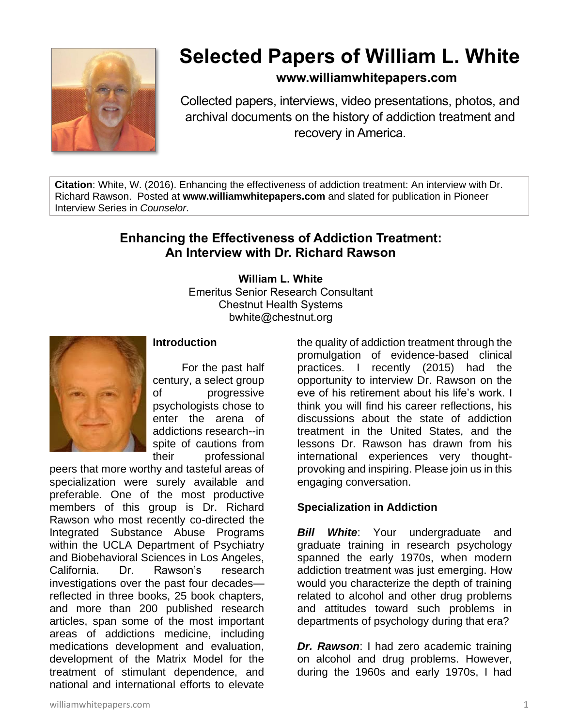

# **Selected Papers of William L. White**

# **www.williamwhitepapers.com**

Collected papers, interviews, video presentations, photos, and archival documents on the history of addiction treatment and recovery in America.

**Citation**: White, W. (2016). Enhancing the effectiveness of addiction treatment: An interview with Dr. Richard Rawson. Posted at **www.williamwhitepapers.com** and slated for publication in Pioneer Interview Series in *Counselor*.

# **Enhancing the Effectiveness of Addiction Treatment: An Interview with Dr. Richard Rawson**

**William L. White** Emeritus Senior Research Consultant Chestnut Health Systems bwhite@chestnut.org



#### **Introduction**

For the past half century, a select group of progressive psychologists chose to enter the arena of addictions research--in spite of cautions from their professional

peers that more worthy and tasteful areas of specialization were surely available and preferable. One of the most productive members of this group is Dr. Richard Rawson who most recently co-directed the Integrated Substance Abuse Programs within the UCLA Department of Psychiatry and Biobehavioral Sciences in Los Angeles, California. Dr. Rawson's research investigations over the past four decades reflected in three books, 25 book chapters, and more than 200 published research articles, span some of the most important areas of addictions medicine, including medications development and evaluation, development of the Matrix Model for the treatment of stimulant dependence, and national and international efforts to elevate

the quality of addiction treatment through the promulgation of evidence-based clinical practices. I recently (2015) had the opportunity to interview Dr. Rawson on the eve of his retirement about his life's work. I think you will find his career reflections, his discussions about the state of addiction treatment in the United States, and the lessons Dr. Rawson has drawn from his international experiences very thoughtprovoking and inspiring. Please join us in this engaging conversation.

# **Specialization in Addiction**

**Bill White:** Your undergraduate and graduate training in research psychology spanned the early 1970s, when modern addiction treatment was just emerging. How would you characterize the depth of training related to alcohol and other drug problems and attitudes toward such problems in departments of psychology during that era?

*Dr. Rawson*: I had zero academic training on alcohol and drug problems. However, during the 1960s and early 1970s, I had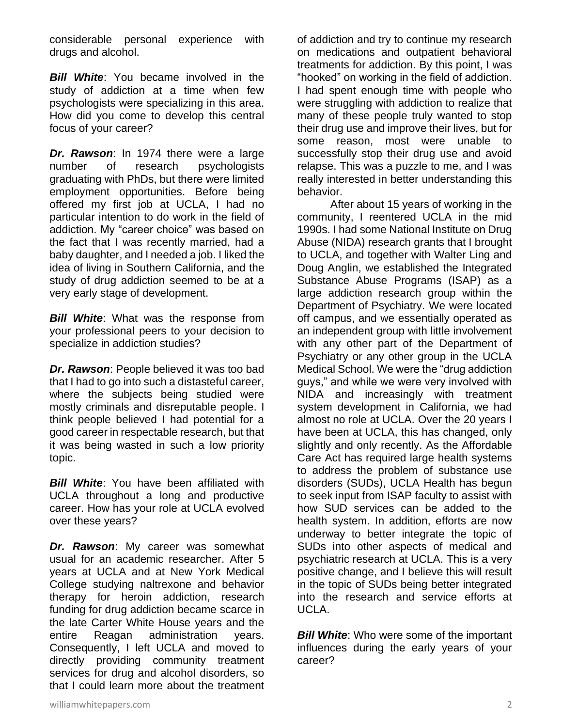considerable personal experience with drugs and alcohol.

*Bill White*: You became involved in the study of addiction at a time when few psychologists were specializing in this area. How did you come to develop this central focus of your career?

*Dr. Rawson*: In 1974 there were a large number of research psychologists graduating with PhDs, but there were limited employment opportunities. Before being offered my first job at UCLA, I had no particular intention to do work in the field of addiction. My "career choice" was based on the fact that I was recently married, had a baby daughter, and I needed a job. I liked the idea of living in Southern California, and the study of drug addiction seemed to be at a very early stage of development.

*Bill White*: What was the response from your professional peers to your decision to specialize in addiction studies?

*Dr. Rawson*: People believed it was too bad that I had to go into such a distasteful career, where the subjects being studied were mostly criminals and disreputable people. I think people believed I had potential for a good career in respectable research, but that it was being wasted in such a low priority topic.

*Bill White*: You have been affiliated with UCLA throughout a long and productive career. How has your role at UCLA evolved over these years?

*Dr. Rawson*: My career was somewhat usual for an academic researcher. After 5 years at UCLA and at New York Medical College studying naltrexone and behavior therapy for heroin addiction, research funding for drug addiction became scarce in the late Carter White House years and the entire Reagan administration years. Consequently, I left UCLA and moved to directly providing community treatment services for drug and alcohol disorders, so that I could learn more about the treatment

of addiction and try to continue my research on medications and outpatient behavioral treatments for addiction. By this point, I was "hooked" on working in the field of addiction. I had spent enough time with people who were struggling with addiction to realize that many of these people truly wanted to stop their drug use and improve their lives, but for some reason, most were unable to successfully stop their drug use and avoid relapse. This was a puzzle to me, and I was really interested in better understanding this behavior.

After about 15 years of working in the community, I reentered UCLA in the mid 1990s. I had some National Institute on Drug Abuse (NIDA) research grants that I brought to UCLA, and together with Walter Ling and Doug Anglin, we established the Integrated Substance Abuse Programs (ISAP) as a large addiction research group within the Department of Psychiatry. We were located off campus, and we essentially operated as an independent group with little involvement with any other part of the Department of Psychiatry or any other group in the UCLA Medical School. We were the "drug addiction guys," and while we were very involved with NIDA and increasingly with treatment system development in California, we had almost no role at UCLA. Over the 20 years I have been at UCLA, this has changed, only slightly and only recently. As the Affordable Care Act has required large health systems to address the problem of substance use disorders (SUDs), UCLA Health has begun to seek input from ISAP faculty to assist with how SUD services can be added to the health system. In addition, efforts are now underway to better integrate the topic of SUDs into other aspects of medical and psychiatric research at UCLA. This is a very positive change, and I believe this will result in the topic of SUDs being better integrated into the research and service efforts at UCLA.

*Bill White:* Who were some of the important influences during the early years of your career?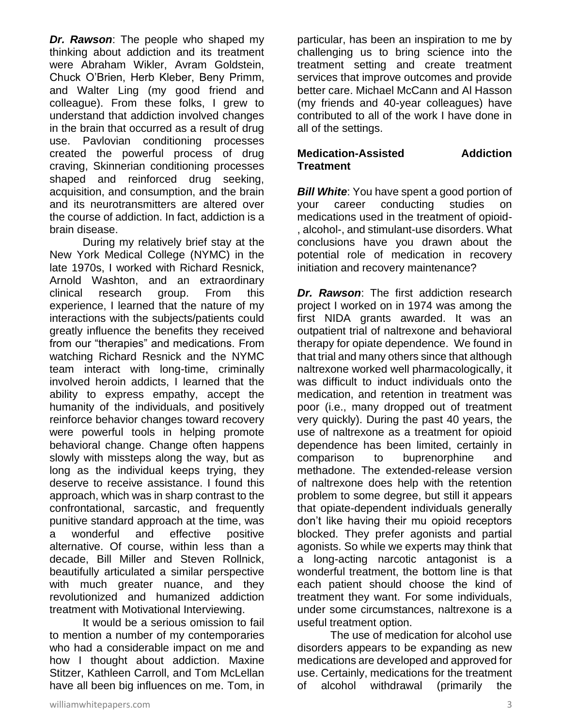*Dr. Rawson*: The people who shaped my thinking about addiction and its treatment were Abraham Wikler, Avram Goldstein, Chuck O'Brien, Herb Kleber, Beny Primm, and Walter Ling (my good friend and colleague). From these folks, I grew to understand that addiction involved changes in the brain that occurred as a result of drug use. Pavlovian conditioning processes created the powerful process of drug craving, Skinnerian conditioning processes shaped and reinforced drug seeking, acquisition, and consumption, and the brain and its neurotransmitters are altered over the course of addiction. In fact, addiction is a brain disease.

During my relatively brief stay at the New York Medical College (NYMC) in the late 1970s, I worked with Richard Resnick, Arnold Washton, and an extraordinary clinical research group. From this experience, I learned that the nature of my interactions with the subjects/patients could greatly influence the benefits they received from our "therapies" and medications. From watching Richard Resnick and the NYMC team interact with long-time, criminally involved heroin addicts, I learned that the ability to express empathy, accept the humanity of the individuals, and positively reinforce behavior changes toward recovery were powerful tools in helping promote behavioral change. Change often happens slowly with missteps along the way, but as long as the individual keeps trying, they deserve to receive assistance. I found this approach, which was in sharp contrast to the confrontational, sarcastic, and frequently punitive standard approach at the time, was a wonderful and effective positive alternative. Of course, within less than a decade, Bill Miller and Steven Rollnick, beautifully articulated a similar perspective with much greater nuance, and they revolutionized and humanized addiction treatment with Motivational Interviewing.

It would be a serious omission to fail to mention a number of my contemporaries who had a considerable impact on me and how I thought about addiction. Maxine Stitzer, Kathleen Carroll, and Tom McLellan have all been big influences on me. Tom, in particular, has been an inspiration to me by challenging us to bring science into the treatment setting and create treatment services that improve outcomes and provide better care. Michael McCann and Al Hasson (my friends and 40-year colleagues) have contributed to all of the work I have done in all of the settings.

#### **Medication-Assisted Addiction Treatment**

**Bill White:** You have spent a good portion of your career conducting studies on medications used in the treatment of opioid- , alcohol-, and stimulant-use disorders. What conclusions have you drawn about the potential role of medication in recovery initiation and recovery maintenance?

*Dr. Rawson*: The first addiction research project I worked on in 1974 was among the first NIDA grants awarded. It was an outpatient trial of naltrexone and behavioral therapy for opiate dependence. We found in that trial and many others since that although naltrexone worked well pharmacologically, it was difficult to induct individuals onto the medication, and retention in treatment was poor (i.e., many dropped out of treatment very quickly). During the past 40 years, the use of naltrexone as a treatment for opioid dependence has been limited, certainly in comparison to buprenorphine and methadone. The extended-release version of naltrexone does help with the retention problem to some degree, but still it appears that opiate-dependent individuals generally don't like having their mu opioid receptors blocked. They prefer agonists and partial agonists. So while we experts may think that a long-acting narcotic antagonist is a wonderful treatment, the bottom line is that each patient should choose the kind of treatment they want. For some individuals, under some circumstances, naltrexone is a useful treatment option.

The use of medication for alcohol use disorders appears to be expanding as new medications are developed and approved for use. Certainly, medications for the treatment of alcohol withdrawal (primarily the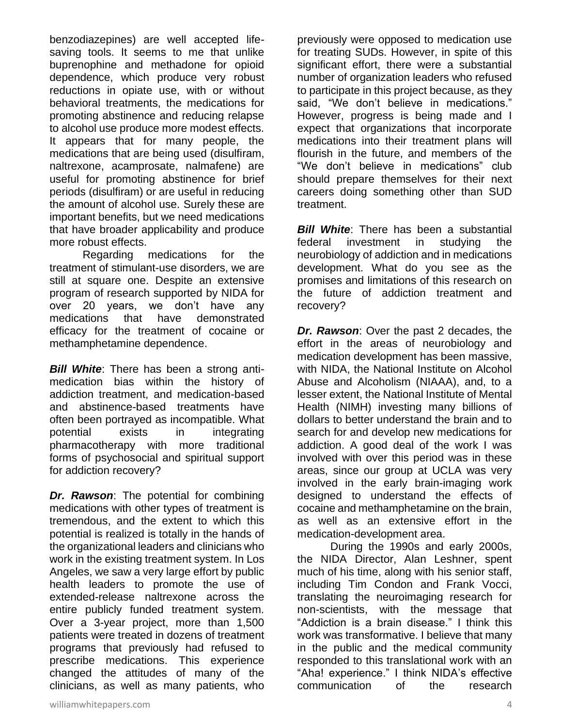benzodiazepines) are well accepted lifesaving tools. It seems to me that unlike buprenophine and methadone for opioid dependence, which produce very robust reductions in opiate use, with or without behavioral treatments, the medications for promoting abstinence and reducing relapse to alcohol use produce more modest effects. It appears that for many people, the medications that are being used (disulfiram, naltrexone, acamprosate, nalmafene) are useful for promoting abstinence for brief periods (disulfiram) or are useful in reducing the amount of alcohol use. Surely these are important benefits, but we need medications that have broader applicability and produce more robust effects.

Regarding medications for the treatment of stimulant-use disorders, we are still at square one. Despite an extensive program of research supported by NIDA for over 20 years, we don't have any medications that have demonstrated efficacy for the treatment of cocaine or methamphetamine dependence.

*Bill White*: There has been a strong antimedication bias within the history of addiction treatment, and medication-based and abstinence-based treatments have often been portrayed as incompatible. What potential exists in integrating pharmacotherapy with more traditional forms of psychosocial and spiritual support for addiction recovery?

*Dr. Rawson*: The potential for combining medications with other types of treatment is tremendous, and the extent to which this potential is realized is totally in the hands of the organizational leaders and clinicians who work in the existing treatment system. In Los Angeles, we saw a very large effort by public health leaders to promote the use of extended-release naltrexone across the entire publicly funded treatment system. Over a 3-year project, more than 1,500 patients were treated in dozens of treatment programs that previously had refused to prescribe medications. This experience changed the attitudes of many of the clinicians, as well as many patients, who previously were opposed to medication use for treating SUDs. However, in spite of this significant effort, there were a substantial number of organization leaders who refused to participate in this project because, as they said, "We don't believe in medications." However, progress is being made and I expect that organizations that incorporate medications into their treatment plans will flourish in the future, and members of the "We don't believe in medications" club should prepare themselves for their next careers doing something other than SUD treatment.

*Bill White*: There has been a substantial federal investment in studying the neurobiology of addiction and in medications development. What do you see as the promises and limitations of this research on the future of addiction treatment and recovery?

*Dr. Rawson*: Over the past 2 decades, the effort in the areas of neurobiology and medication development has been massive, with NIDA, the National Institute on Alcohol Abuse and Alcoholism (NIAAA), and, to a lesser extent, the National Institute of Mental Health (NIMH) investing many billions of dollars to better understand the brain and to search for and develop new medications for addiction. A good deal of the work I was involved with over this period was in these areas, since our group at UCLA was very involved in the early brain-imaging work designed to understand the effects of cocaine and methamphetamine on the brain, as well as an extensive effort in the medication-development area.

During the 1990s and early 2000s, the NIDA Director, Alan Leshner, spent much of his time, along with his senior staff, including Tim Condon and Frank Vocci, translating the neuroimaging research for non-scientists, with the message that "Addiction is a brain disease." I think this work was transformative. I believe that many in the public and the medical community responded to this translational work with an "Aha! experience." I think NIDA's effective communication of the research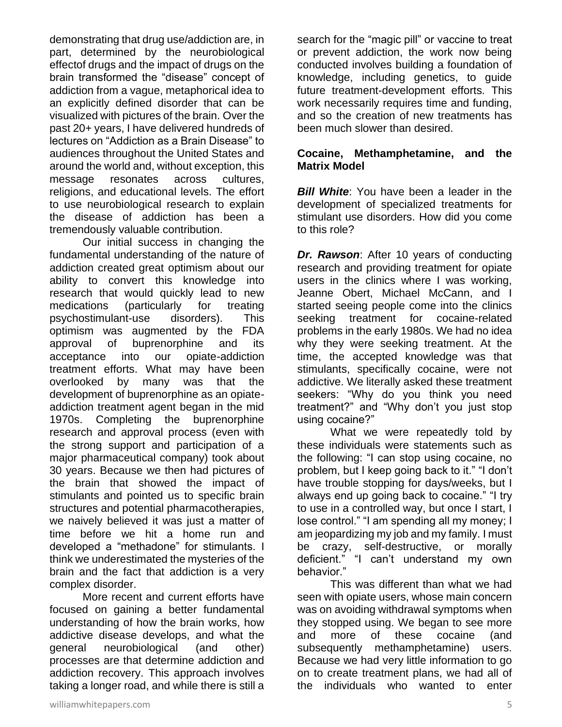demonstrating that drug use/addiction are, in part, determined by the neurobiological effectof drugs and the impact of drugs on the brain transformed the "disease" concept of addiction from a vague, metaphorical idea to an explicitly defined disorder that can be visualized with pictures of the brain. Over the past 20+ years, I have delivered hundreds of lectures on "Addiction as a Brain Disease" to audiences throughout the United States and around the world and, without exception, this message resonates across cultures, religions, and educational levels. The effort to use neurobiological research to explain the disease of addiction has been a tremendously valuable contribution.

Our initial success in changing the fundamental understanding of the nature of addiction created great optimism about our ability to convert this knowledge into research that would quickly lead to new medications (particularly for treating psychostimulant-use disorders). This optimism was augmented by the FDA approval of buprenorphine and its acceptance into our opiate-addiction treatment efforts. What may have been overlooked by many was that the development of buprenorphine as an opiateaddiction treatment agent began in the mid 1970s. Completing the buprenorphine research and approval process (even with the strong support and participation of a major pharmaceutical company) took about 30 years. Because we then had pictures of the brain that showed the impact of stimulants and pointed us to specific brain structures and potential pharmacotherapies, we naively believed it was just a matter of time before we hit a home run and developed a "methadone" for stimulants. I think we underestimated the mysteries of the brain and the fact that addiction is a very complex disorder.

More recent and current efforts have focused on gaining a better fundamental understanding of how the brain works, how addictive disease develops, and what the general neurobiological (and other) processes are that determine addiction and addiction recovery. This approach involves taking a longer road, and while there is still a search for the "magic pill" or vaccine to treat or prevent addiction, the work now being conducted involves building a foundation of knowledge, including genetics, to guide future treatment-development efforts. This work necessarily requires time and funding, and so the creation of new treatments has been much slower than desired.

#### **Cocaine, Methamphetamine, and the Matrix Model**

*Bill White*: You have been a leader in the development of specialized treatments for stimulant use disorders. How did you come to this role?

*Dr. Rawson*: After 10 years of conducting research and providing treatment for opiate users in the clinics where I was working, Jeanne Obert, Michael McCann, and I started seeing people come into the clinics seeking treatment for cocaine-related problems in the early 1980s. We had no idea why they were seeking treatment. At the time, the accepted knowledge was that stimulants, specifically cocaine, were not addictive. We literally asked these treatment seekers: "Why do you think you need treatment?" and "Why don't you just stop using cocaine?"

What we were repeatedly told by these individuals were statements such as the following: "I can stop using cocaine, no problem, but I keep going back to it." "I don't have trouble stopping for days/weeks, but I always end up going back to cocaine." "I try to use in a controlled way, but once I start, I lose control." "I am spending all my money; I am jeopardizing my job and my family. I must be crazy, self-destructive, or morally deficient." "I can't understand my own behavior."

This was different than what we had seen with opiate users, whose main concern was on avoiding withdrawal symptoms when they stopped using. We began to see more and more of these cocaine (and subsequently methamphetamine) users. Because we had very little information to go on to create treatment plans, we had all of the individuals who wanted to enter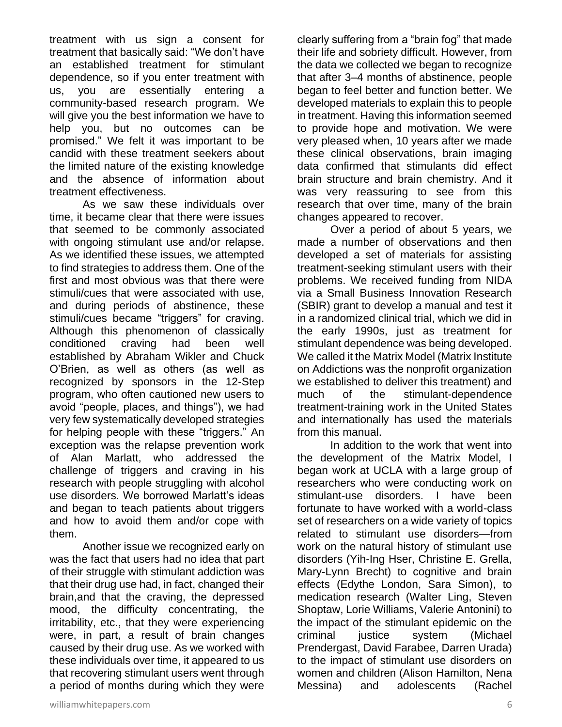treatment with us sign a consent for treatment that basically said: "We don't have an established treatment for stimulant dependence, so if you enter treatment with us, you are essentially entering a community-based research program. We will give you the best information we have to help you, but no outcomes can be promised." We felt it was important to be candid with these treatment seekers about the limited nature of the existing knowledge and the absence of information about treatment effectiveness.

As we saw these individuals over time, it became clear that there were issues that seemed to be commonly associated with ongoing stimulant use and/or relapse. As we identified these issues, we attempted to find strategies to address them. One of the first and most obvious was that there were stimuli/cues that were associated with use, and during periods of abstinence, these stimuli/cues became "triggers" for craving. Although this phenomenon of classically conditioned craving had been well established by Abraham Wikler and Chuck O'Brien, as well as others (as well as recognized by sponsors in the 12-Step program, who often cautioned new users to avoid "people, places, and things"), we had very few systematically developed strategies for helping people with these "triggers." An exception was the relapse prevention work of Alan Marlatt, who addressed the challenge of triggers and craving in his research with people struggling with alcohol use disorders. We borrowed Marlatt's ideas and began to teach patients about triggers and how to avoid them and/or cope with them.

Another issue we recognized early on was the fact that users had no idea that part of their struggle with stimulant addiction was that their drug use had, in fact, changed their brain,and that the craving, the depressed mood, the difficulty concentrating, the irritability, etc., that they were experiencing were, in part, a result of brain changes caused by their drug use. As we worked with these individuals over time, it appeared to us that recovering stimulant users went through a period of months during which they were

clearly suffering from a "brain fog" that made their life and sobriety difficult. However, from the data we collected we began to recognize that after 3–4 months of abstinence, people began to feel better and function better. We developed materials to explain this to people in treatment. Having this information seemed to provide hope and motivation. We were very pleased when, 10 years after we made these clinical observations, brain imaging data confirmed that stimulants did effect brain structure and brain chemistry. And it was very reassuring to see from this research that over time, many of the brain changes appeared to recover.

Over a period of about 5 years, we made a number of observations and then developed a set of materials for assisting treatment-seeking stimulant users with their problems. We received funding from NIDA via a Small Business Innovation Research (SBIR) grant to develop a manual and test it in a randomized clinical trial, which we did in the early 1990s, just as treatment for stimulant dependence was being developed. We called it the Matrix Model (Matrix Institute on Addictions was the nonprofit organization we established to deliver this treatment) and much of the stimulant-dependence treatment-training work in the United States and internationally has used the materials from this manual.

In addition to the work that went into the development of the Matrix Model, I began work at UCLA with a large group of researchers who were conducting work on stimulant-use disorders. I have been fortunate to have worked with a world-class set of researchers on a wide variety of topics related to stimulant use disorders—from work on the natural history of stimulant use disorders (Yih-Ing Hser, Christine E. Grella, Mary-Lynn Brecht) to cognitive and brain effects (Edythe London, Sara Simon), to medication research (Walter Ling, Steven Shoptaw, Lorie Williams, Valerie Antonini) to the impact of the stimulant epidemic on the criminal justice system (Michael Prendergast, David Farabee, Darren Urada) to the impact of stimulant use disorders on women and children (Alison Hamilton, Nena Messina) and adolescents (Rachel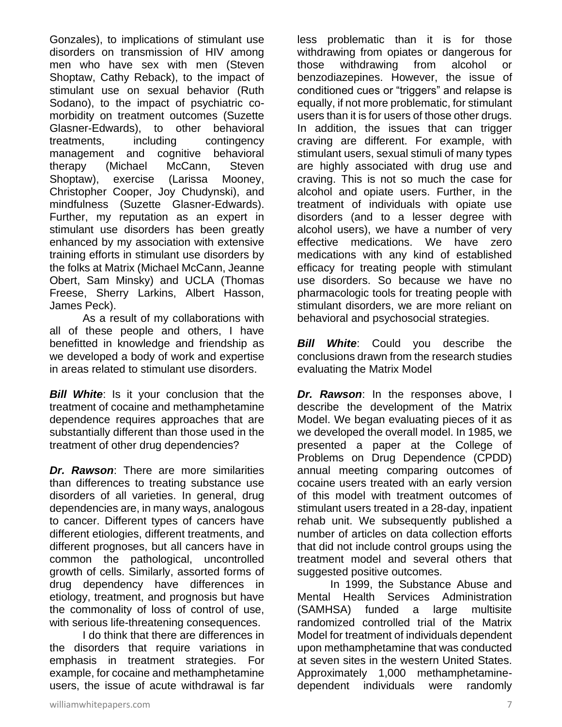Gonzales), to implications of stimulant use disorders on transmission of HIV among men who have sex with men (Steven Shoptaw, Cathy Reback), to the impact of stimulant use on sexual behavior (Ruth Sodano), to the impact of psychiatric comorbidity on treatment outcomes (Suzette Glasner-Edwards), to other behavioral treatments, including contingency management and cognitive behavioral therapy (Michael McCann, Steven Shoptaw), exercise (Larissa Mooney, Christopher Cooper, Joy Chudynski), and mindfulness (Suzette Glasner-Edwards). Further, my reputation as an expert in stimulant use disorders has been greatly enhanced by my association with extensive training efforts in stimulant use disorders by the folks at Matrix (Michael McCann, Jeanne Obert, Sam Minsky) and UCLA (Thomas Freese, Sherry Larkins, Albert Hasson, James Peck).

As a result of my collaborations with all of these people and others, I have benefitted in knowledge and friendship as we developed a body of work and expertise in areas related to stimulant use disorders.

**Bill White**: Is it your conclusion that the treatment of cocaine and methamphetamine dependence requires approaches that are substantially different than those used in the treatment of other drug dependencies?

*Dr. Rawson*: There are more similarities than differences to treating substance use disorders of all varieties. In general, drug dependencies are, in many ways, analogous to cancer. Different types of cancers have different etiologies, different treatments, and different prognoses, but all cancers have in common the pathological, uncontrolled growth of cells. Similarly, assorted forms of drug dependency have differences in etiology, treatment, and prognosis but have the commonality of loss of control of use, with serious life-threatening consequences.

I do think that there are differences in the disorders that require variations in emphasis in treatment strategies. For example, for cocaine and methamphetamine users, the issue of acute withdrawal is far less problematic than it is for those withdrawing from opiates or dangerous for those withdrawing from alcohol or benzodiazepines. However, the issue of conditioned cues or "triggers" and relapse is equally, if not more problematic, for stimulant users than it is for users of those other drugs. In addition, the issues that can trigger craving are different. For example, with stimulant users, sexual stimuli of many types are highly associated with drug use and craving. This is not so much the case for alcohol and opiate users. Further, in the treatment of individuals with opiate use disorders (and to a lesser degree with alcohol users), we have a number of very effective medications. We have zero medications with any kind of established efficacy for treating people with stimulant use disorders. So because we have no pharmacologic tools for treating people with stimulant disorders, we are more reliant on behavioral and psychosocial strategies.

*Bill White*: Could you describe the conclusions drawn from the research studies evaluating the Matrix Model

*Dr. Rawson*: In the responses above, I describe the development of the Matrix Model. We began evaluating pieces of it as we developed the overall model. In 1985, we presented a paper at the College of Problems on Drug Dependence (CPDD) annual meeting comparing outcomes of cocaine users treated with an early version of this model with treatment outcomes of stimulant users treated in a 28-day, inpatient rehab unit. We subsequently published a number of articles on data collection efforts that did not include control groups using the treatment model and several others that suggested positive outcomes.

In 1999, the Substance Abuse and Mental Health Services Administration (SAMHSA) funded a large multisite randomized controlled trial of the Matrix Model for treatment of individuals dependent upon methamphetamine that was conducted at seven sites in the western United States. Approximately 1,000 methamphetaminedependent individuals were randomly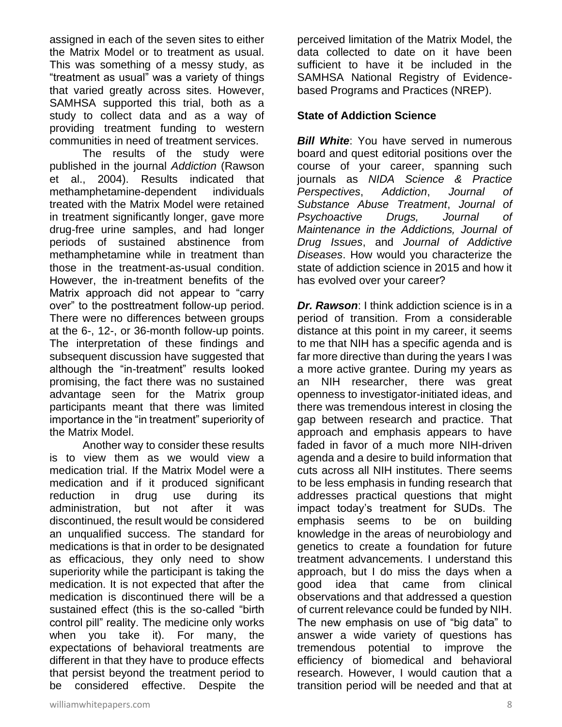assigned in each of the seven sites to either the Matrix Model or to treatment as usual. This was something of a messy study, as "treatment as usual" was a variety of things that varied greatly across sites. However, SAMHSA supported this trial, both as a study to collect data and as a way of providing treatment funding to western communities in need of treatment services.

The results of the study were published in the journal *Addiction* (Rawson et al., 2004). Results indicated that methamphetamine-dependent individuals treated with the Matrix Model were retained in treatment significantly longer, gave more drug-free urine samples, and had longer periods of sustained abstinence from methamphetamine while in treatment than those in the treatment-as-usual condition. However, the in-treatment benefits of the Matrix approach did not appear to "carry over" to the posttreatment follow-up period. There were no differences between groups at the 6-, 12-, or 36-month follow-up points. The interpretation of these findings and subsequent discussion have suggested that although the "in-treatment" results looked promising, the fact there was no sustained advantage seen for the Matrix group participants meant that there was limited importance in the "in treatment" superiority of the Matrix Model.

Another way to consider these results is to view them as we would view a medication trial. If the Matrix Model were a medication and if it produced significant reduction in drug use during its administration, but not after it was discontinued, the result would be considered an unqualified success. The standard for medications is that in order to be designated as efficacious, they only need to show superiority while the participant is taking the medication. It is not expected that after the medication is discontinued there will be a sustained effect (this is the so-called "birth control pill" reality. The medicine only works when you take it). For many, the expectations of behavioral treatments are different in that they have to produce effects that persist beyond the treatment period to be considered effective. Despite the

perceived limitation of the Matrix Model, the data collected to date on it have been sufficient to have it be included in the SAMHSA National Registry of Evidencebased Programs and Practices (NREP).

#### **State of Addiction Science**

*Bill White*: You have served in numerous board and quest editorial positions over the course of your career, spanning such journals as *NIDA Science & Practice Perspectives*, *Addiction*, *Journal of Substance Abuse Treatment*, *Journal of Psychoactive Drugs, Journal of Maintenance in the Addictions, Journal of Drug Issues*, and *Journal of Addictive Diseases*. How would you characterize the state of addiction science in 2015 and how it has evolved over your career?

*Dr. Rawson*: I think addiction science is in a period of transition. From a considerable distance at this point in my career, it seems to me that NIH has a specific agenda and is far more directive than during the years I was a more active grantee. During my years as an NIH researcher, there was great openness to investigator-initiated ideas, and there was tremendous interest in closing the gap between research and practice. That approach and emphasis appears to have faded in favor of a much more NIH-driven agenda and a desire to build information that cuts across all NIH institutes. There seems to be less emphasis in funding research that addresses practical questions that might impact today's treatment for SUDs. The emphasis seems to be on building knowledge in the areas of neurobiology and genetics to create a foundation for future treatment advancements. I understand this approach, but I do miss the days when a good idea that came from clinical observations and that addressed a question of current relevance could be funded by NIH. The new emphasis on use of "big data" to answer a wide variety of questions has tremendous potential to improve the efficiency of biomedical and behavioral research. However, I would caution that a transition period will be needed and that at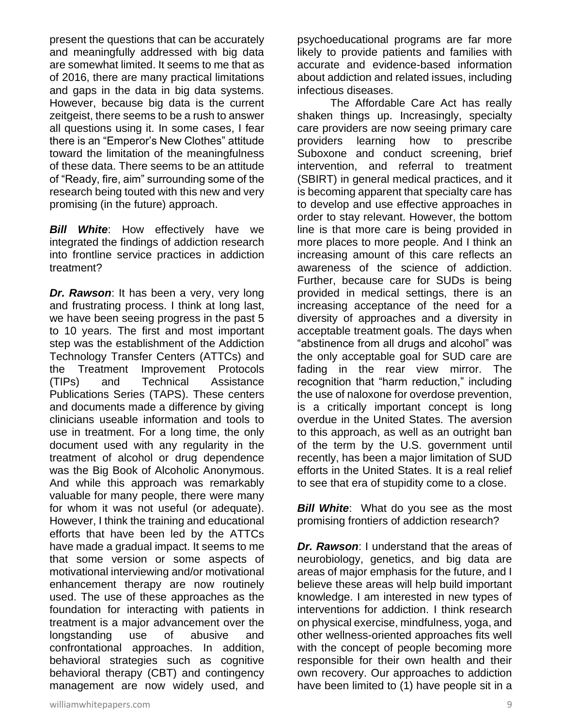present the questions that can be accurately and meaningfully addressed with big data are somewhat limited. It seems to me that as of 2016, there are many practical limitations and gaps in the data in big data systems. However, because big data is the current zeitgeist, there seems to be a rush to answer all questions using it. In some cases, I fear there is an "Emperor's New Clothes" attitude toward the limitation of the meaningfulness of these data. There seems to be an attitude of "Ready, fire, aim" surrounding some of the research being touted with this new and very promising (in the future) approach.

**Bill White:** How effectively have we integrated the findings of addiction research into frontline service practices in addiction treatment?

*Dr. Rawson*: It has been a very, very long and frustrating process. I think at long last, we have been seeing progress in the past 5 to 10 years. The first and most important step was the establishment of the Addiction Technology Transfer Centers (ATTCs) and the Treatment Improvement Protocols (TIPs) and Technical Assistance Publications Series (TAPS). These centers and documents made a difference by giving clinicians useable information and tools to use in treatment. For a long time, the only document used with any regularity in the treatment of alcohol or drug dependence was the Big Book of Alcoholic Anonymous. And while this approach was remarkably valuable for many people, there were many for whom it was not useful (or adequate). However, I think the training and educational efforts that have been led by the ATTCs have made a gradual impact. It seems to me that some version or some aspects of motivational interviewing and/or motivational enhancement therapy are now routinely used. The use of these approaches as the foundation for interacting with patients in treatment is a major advancement over the longstanding use of abusive and confrontational approaches. In addition, behavioral strategies such as cognitive behavioral therapy (CBT) and contingency management are now widely used, and psychoeducational programs are far more likely to provide patients and families with accurate and evidence-based information about addiction and related issues, including infectious diseases.

The Affordable Care Act has really shaken things up. Increasingly, specialty care providers are now seeing primary care providers learning how to prescribe Suboxone and conduct screening, brief intervention, and referral to treatment (SBIRT) in general medical practices, and it is becoming apparent that specialty care has to develop and use effective approaches in order to stay relevant. However, the bottom line is that more care is being provided in more places to more people. And I think an increasing amount of this care reflects an awareness of the science of addiction. Further, because care for SUDs is being provided in medical settings, there is an increasing acceptance of the need for a diversity of approaches and a diversity in acceptable treatment goals. The days when "abstinence from all drugs and alcohol" was the only acceptable goal for SUD care are fading in the rear view mirror. The recognition that "harm reduction," including the use of naloxone for overdose prevention, is a critically important concept is long overdue in the United States. The aversion to this approach, as well as an outright ban of the term by the U.S. government until recently, has been a major limitation of SUD efforts in the United States. It is a real relief to see that era of stupidity come to a close.

*Bill White*: What do you see as the most promising frontiers of addiction research?

*Dr. Rawson*: I understand that the areas of neurobiology, genetics, and big data are areas of major emphasis for the future, and I believe these areas will help build important knowledge. I am interested in new types of interventions for addiction. I think research on physical exercise, mindfulness, yoga, and other wellness-oriented approaches fits well with the concept of people becoming more responsible for their own health and their own recovery. Our approaches to addiction have been limited to (1) have people sit in a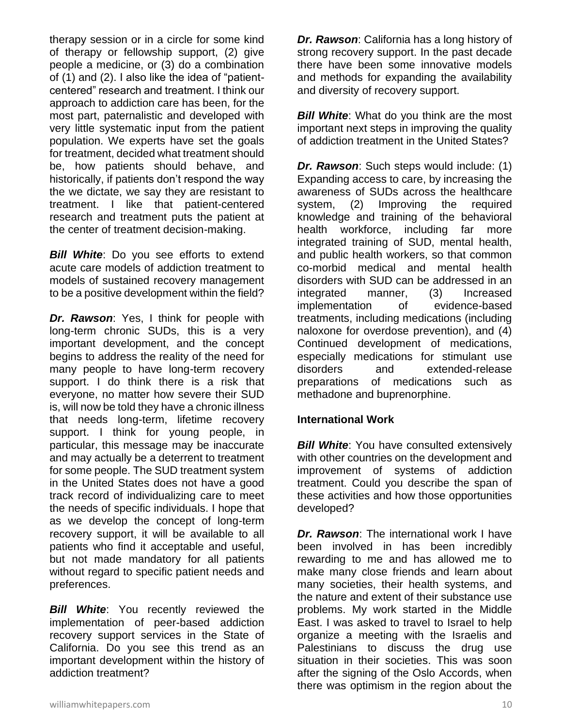therapy session or in a circle for some kind of therapy or fellowship support, (2) give people a medicine, or (3) do a combination of (1) and (2). I also like the idea of "patientcentered" research and treatment. I think our approach to addiction care has been, for the most part, paternalistic and developed with very little systematic input from the patient population. We experts have set the goals for treatment, decided what treatment should be, how patients should behave, and historically, if patients don't respond the way the we dictate, we say they are resistant to treatment. I like that patient-centered research and treatment puts the patient at the center of treatment decision-making.

*Bill White*: Do you see efforts to extend acute care models of addiction treatment to models of sustained recovery management to be a positive development within the field?

*Dr. Rawson*: Yes, I think for people with long-term chronic SUDs, this is a very important development, and the concept begins to address the reality of the need for many people to have long-term recovery support. I do think there is a risk that everyone, no matter how severe their SUD is, will now be told they have a chronic illness that needs long-term, lifetime recovery support. I think for young people, in particular, this message may be inaccurate and may actually be a deterrent to treatment for some people. The SUD treatment system in the United States does not have a good track record of individualizing care to meet the needs of specific individuals. I hope that as we develop the concept of long-term recovery support, it will be available to all patients who find it acceptable and useful, but not made mandatory for all patients without regard to specific patient needs and preferences.

**Bill White:** You recently reviewed the implementation of peer-based addiction recovery support services in the State of California. Do you see this trend as an important development within the history of addiction treatment?

*Dr. Rawson*: California has a long history of strong recovery support. In the past decade there have been some innovative models and methods for expanding the availability and diversity of recovery support.

*Bill White:* What do you think are the most important next steps in improving the quality of addiction treatment in the United States?

*Dr. Rawson*: Such steps would include: (1) Expanding access to care, by increasing the awareness of SUDs across the healthcare system, (2) Improving the required knowledge and training of the behavioral health workforce, including far more integrated training of SUD, mental health, and public health workers, so that common co-morbid medical and mental health disorders with SUD can be addressed in an integrated manner, (3) Increased implementation of evidence-based treatments, including medications (including naloxone for overdose prevention), and (4) Continued development of medications, especially medications for stimulant use disorders and extended-release preparations of medications such as methadone and buprenorphine.

#### **International Work**

**Bill White:** You have consulted extensively with other countries on the development and improvement of systems of addiction treatment. Could you describe the span of these activities and how those opportunities developed?

*Dr. Rawson*: The international work I have been involved in has been incredibly rewarding to me and has allowed me to make many close friends and learn about many societies, their health systems, and the nature and extent of their substance use problems. My work started in the Middle East. I was asked to travel to Israel to help organize a meeting with the Israelis and Palestinians to discuss the drug use situation in their societies. This was soon after the signing of the Oslo Accords, when there was optimism in the region about the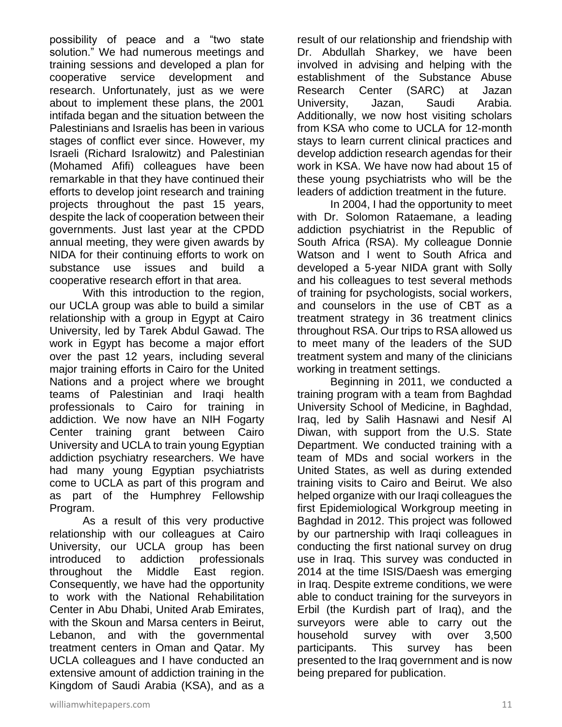possibility of peace and a "two state solution." We had numerous meetings and training sessions and developed a plan for cooperative service development and research. Unfortunately, just as we were about to implement these plans, the 2001 intifada began and the situation between the Palestinians and Israelis has been in various stages of conflict ever since. However, my Israeli (Richard Isralowitz) and Palestinian (Mohamed Afifi) colleagues have been remarkable in that they have continued their efforts to develop joint research and training projects throughout the past 15 years, despite the lack of cooperation between their governments. Just last year at the CPDD annual meeting, they were given awards by NIDA for their continuing efforts to work on substance use issues and build a cooperative research effort in that area.

With this introduction to the region, our UCLA group was able to build a similar relationship with a group in Egypt at Cairo University, led by Tarek Abdul Gawad. The work in Egypt has become a major effort over the past 12 years, including several major training efforts in Cairo for the United Nations and a project where we brought teams of Palestinian and Iraqi health professionals to Cairo for training in addiction. We now have an NIH Fogarty Center training grant between Cairo University and UCLA to train young Egyptian addiction psychiatry researchers. We have had many young Egyptian psychiatrists come to UCLA as part of this program and as part of the Humphrey Fellowship Program.

As a result of this very productive relationship with our colleagues at Cairo University, our UCLA group has been introduced to addiction professionals throughout the Middle East region. Consequently, we have had the opportunity to work with the National Rehabilitation Center in Abu Dhabi, United Arab Emirates, with the Skoun and Marsa centers in Beirut, Lebanon, and with the governmental treatment centers in Oman and Qatar. My UCLA colleagues and I have conducted an extensive amount of addiction training in the Kingdom of Saudi Arabia (KSA), and as a

result of our relationship and friendship with Dr. Abdullah Sharkey, we have been involved in advising and helping with the establishment of the Substance Abuse Research Center (SARC) at Jazan University, Jazan, Saudi Arabia. Additionally, we now host visiting scholars from KSA who come to UCLA for 12-month stays to learn current clinical practices and develop addiction research agendas for their work in KSA. We have now had about 15 of these young psychiatrists who will be the leaders of addiction treatment in the future.

In 2004, I had the opportunity to meet with Dr. Solomon Rataemane, a leading addiction psychiatrist in the Republic of South Africa (RSA). My colleague Donnie Watson and I went to South Africa and developed a 5-year NIDA grant with Solly and his colleagues to test several methods of training for psychologists, social workers, and counselors in the use of CBT as a treatment strategy in 36 treatment clinics throughout RSA. Our trips to RSA allowed us to meet many of the leaders of the SUD treatment system and many of the clinicians working in treatment settings.

Beginning in 2011, we conducted a training program with a team from Baghdad University School of Medicine, in Baghdad, Iraq, led by Salih Hasnawi and Nesif Al Diwan, with support from the U.S. State Department. We conducted training with a team of MDs and social workers in the United States, as well as during extended training visits to Cairo and Beirut. We also helped organize with our Iraqi colleagues the first Epidemiological Workgroup meeting in Baghdad in 2012. This project was followed by our partnership with Iraqi colleagues in conducting the first national survey on drug use in Iraq. This survey was conducted in 2014 at the time ISIS/Daesh was emerging in Iraq. Despite extreme conditions, we were able to conduct training for the surveyors in Erbil (the Kurdish part of Iraq), and the surveyors were able to carry out the household survey with over 3,500 participants. This survey has been presented to the Iraq government and is now being prepared for publication.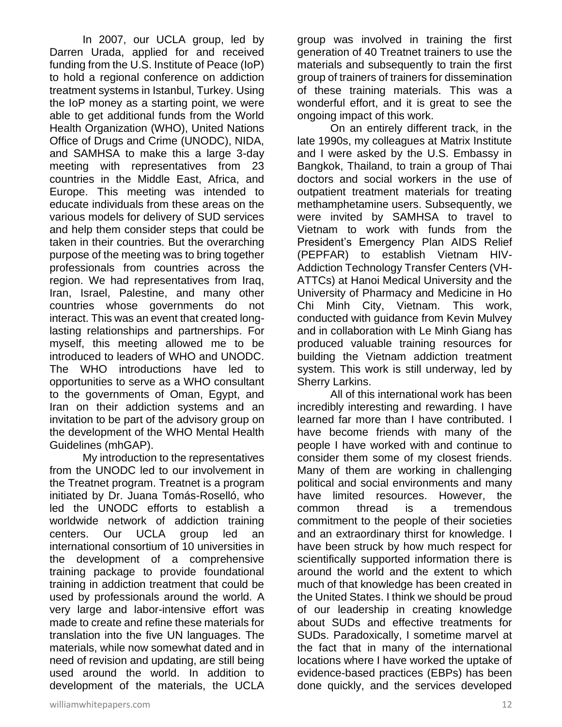In 2007, our UCLA group, led by Darren Urada, applied for and received funding from the U.S. Institute of Peace (IoP) to hold a regional conference on addiction treatment systems in Istanbul, Turkey. Using the IoP money as a starting point, we were able to get additional funds from the World Health Organization (WHO), United Nations Office of Drugs and Crime (UNODC), NIDA, and SAMHSA to make this a large 3-day meeting with representatives from 23 countries in the Middle East, Africa, and Europe. This meeting was intended to educate individuals from these areas on the various models for delivery of SUD services and help them consider steps that could be taken in their countries. But the overarching purpose of the meeting was to bring together professionals from countries across the region. We had representatives from Iraq, Iran, Israel, Palestine, and many other countries whose governments do not interact. This was an event that created longlasting relationships and partnerships. For myself, this meeting allowed me to be introduced to leaders of WHO and UNODC. The WHO introductions have led to opportunities to serve as a WHO consultant to the governments of Oman, Egypt, and Iran on their addiction systems and an invitation to be part of the advisory group on the development of the WHO Mental Health Guidelines (mhGAP).

My introduction to the representatives from the UNODC led to our involvement in the Treatnet program. Treatnet is a program initiated by Dr. Juana Tomás-Roselló, who led the UNODC efforts to establish a worldwide network of addiction training centers. Our UCLA group led an international consortium of 10 universities in the development of a comprehensive training package to provide foundational training in addiction treatment that could be used by professionals around the world. A very large and labor-intensive effort was made to create and refine these materials for translation into the five UN languages. The materials, while now somewhat dated and in need of revision and updating, are still being used around the world. In addition to development of the materials, the UCLA

group was involved in training the first generation of 40 Treatnet trainers to use the materials and subsequently to train the first group of trainers of trainers for dissemination of these training materials. This was a wonderful effort, and it is great to see the ongoing impact of this work.

On an entirely different track, in the late 1990s, my colleagues at Matrix Institute and I were asked by the U.S. Embassy in Bangkok, Thailand, to train a group of Thai doctors and social workers in the use of outpatient treatment materials for treating methamphetamine users. Subsequently, we were invited by SAMHSA to travel to Vietnam to work with funds from the President's Emergency Plan AIDS Relief (PEPFAR) to establish Vietnam HIV-Addiction Technology Transfer Centers (VH-ATTCs) at Hanoi Medical University and the University of Pharmacy and Medicine in Ho Chi Minh City, Vietnam. This work, conducted with guidance from Kevin Mulvey and in collaboration with Le Minh Giang has produced valuable training resources for building the Vietnam addiction treatment system. This work is still underway, led by Sherry Larkins.

All of this international work has been incredibly interesting and rewarding. I have learned far more than I have contributed. I have become friends with many of the people I have worked with and continue to consider them some of my closest friends. Many of them are working in challenging political and social environments and many have limited resources. However, the common thread is a tremendous commitment to the people of their societies and an extraordinary thirst for knowledge. I have been struck by how much respect for scientifically supported information there is around the world and the extent to which much of that knowledge has been created in the United States. I think we should be proud of our leadership in creating knowledge about SUDs and effective treatments for SUDs. Paradoxically, I sometime marvel at the fact that in many of the international locations where I have worked the uptake of evidence-based practices (EBPs) has been done quickly, and the services developed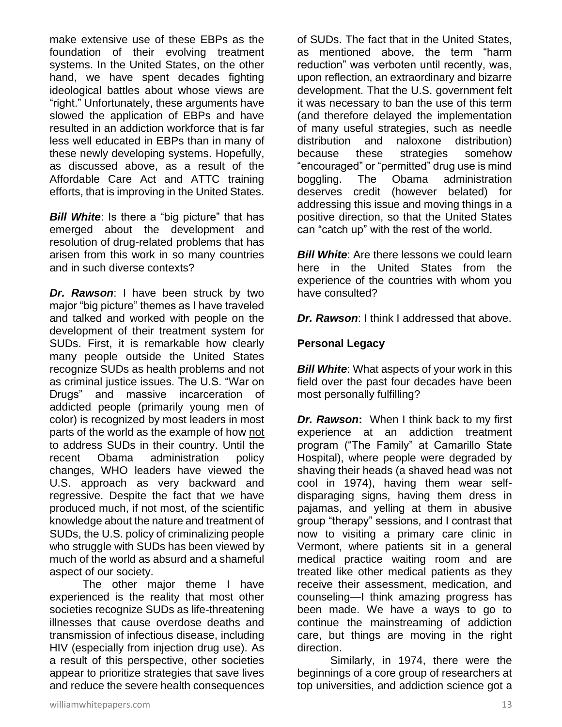make extensive use of these EBPs as the foundation of their evolving treatment systems. In the United States, on the other hand, we have spent decades fighting ideological battles about whose views are "right." Unfortunately, these arguments have slowed the application of EBPs and have resulted in an addiction workforce that is far less well educated in EBPs than in many of these newly developing systems. Hopefully, as discussed above, as a result of the Affordable Care Act and ATTC training efforts, that is improving in the United States.

**Bill White:** Is there a "big picture" that has emerged about the development and resolution of drug-related problems that has arisen from this work in so many countries and in such diverse contexts?

*Dr. Rawson*: I have been struck by two major "big picture" themes as I have traveled and talked and worked with people on the development of their treatment system for SUDs. First, it is remarkable how clearly many people outside the United States recognize SUDs as health problems and not as criminal justice issues. The U.S. "War on Drugs" and massive incarceration of addicted people (primarily young men of color) is recognized by most leaders in most parts of the world as the example of how not to address SUDs in their country. Until the recent Obama administration policy changes, WHO leaders have viewed the U.S. approach as very backward and regressive. Despite the fact that we have produced much, if not most, of the scientific knowledge about the nature and treatment of SUDs, the U.S. policy of criminalizing people who struggle with SUDs has been viewed by much of the world as absurd and a shameful aspect of our society.

The other major theme I have experienced is the reality that most other societies recognize SUDs as life-threatening illnesses that cause overdose deaths and transmission of infectious disease, including HIV (especially from injection drug use). As a result of this perspective, other societies appear to prioritize strategies that save lives and reduce the severe health consequences

of SUDs. The fact that in the United States, as mentioned above, the term "harm reduction" was verboten until recently, was, upon reflection, an extraordinary and bizarre development. That the U.S. government felt it was necessary to ban the use of this term (and therefore delayed the implementation of many useful strategies, such as needle distribution and naloxone distribution) because these strategies somehow "encouraged" or "permitted" drug use is mind boggling. The Obama administration deserves credit (however belated) for addressing this issue and moving things in a positive direction, so that the United States can "catch up" with the rest of the world.

*Bill White:* Are there lessons we could learn here in the United States from the experience of the countries with whom you have consulted?

*Dr. Rawson*: I think I addressed that above.

## **Personal Legacy**

*Bill White:* What aspects of your work in this field over the past four decades have been most personally fulfilling?

*Dr. Rawson***:** When I think back to my first experience at an addiction treatment program ("The Family" at Camarillo State Hospital), where people were degraded by shaving their heads (a shaved head was not cool in 1974), having them wear selfdisparaging signs, having them dress in pajamas, and yelling at them in abusive group "therapy" sessions, and I contrast that now to visiting a primary care clinic in Vermont, where patients sit in a general medical practice waiting room and are treated like other medical patients as they receive their assessment, medication, and counseling—I think amazing progress has been made. We have a ways to go to continue the mainstreaming of addiction care, but things are moving in the right direction.

Similarly, in 1974, there were the beginnings of a core group of researchers at top universities, and addiction science got a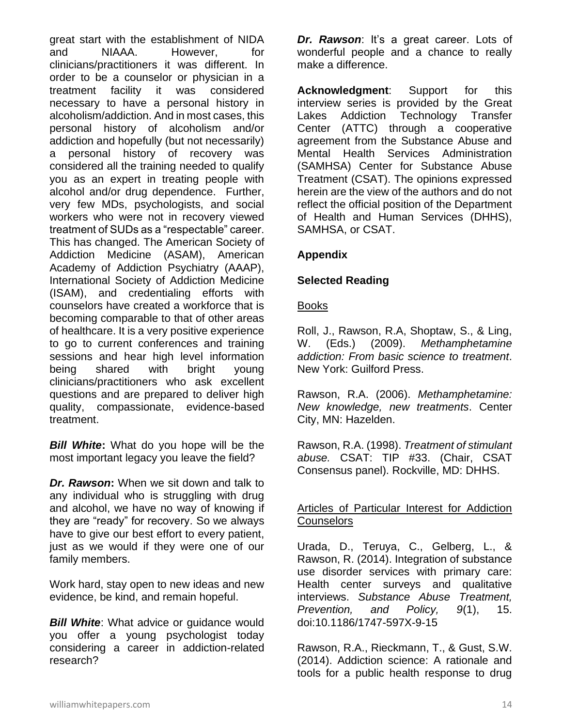great start with the establishment of NIDA and NIAAA. However, for clinicians/practitioners it was different. In order to be a counselor or physician in a treatment facility it was considered necessary to have a personal history in alcoholism/addiction. And in most cases, this personal history of alcoholism and/or addiction and hopefully (but not necessarily) a personal history of recovery was considered all the training needed to qualify you as an expert in treating people with alcohol and/or drug dependence. Further, very few MDs, psychologists, and social workers who were not in recovery viewed treatment of SUDs as a "respectable" career. This has changed. The American Society of Addiction Medicine (ASAM), American Academy of Addiction Psychiatry (AAAP), International Society of Addiction Medicine (ISAM), and credentialing efforts with counselors have created a workforce that is becoming comparable to that of other areas of healthcare. It is a very positive experience to go to current conferences and training sessions and hear high level information being shared with bright young clinicians/practitioners who ask excellent questions and are prepared to deliver high quality, compassionate, evidence-based treatment.

*Bill White***:** What do you hope will be the most important legacy you leave the field?

*Dr. Rawson***:** When we sit down and talk to any individual who is struggling with drug and alcohol, we have no way of knowing if they are "ready" for recovery. So we always have to give our best effort to every patient, just as we would if they were one of our family members.

Work hard, stay open to new ideas and new evidence, be kind, and remain hopeful.

**Bill White:** What advice or guidance would you offer a young psychologist today considering a career in addiction-related research?

*Dr. Rawson*: It's a great career. Lots of wonderful people and a chance to really make a difference.

**Acknowledgment**: Support for this interview series is provided by the Great Lakes Addiction Technology Transfer Center (ATTC) through a cooperative agreement from the Substance Abuse and Mental Health Services Administration (SAMHSA) Center for Substance Abuse Treatment (CSAT). The opinions expressed herein are the view of the authors and do not reflect the official position of the Department of Health and Human Services (DHHS), SAMHSA, or CSAT.

#### **Appendix**

## **Selected Reading**

#### Books

Roll, J., Rawson, R.A, Shoptaw, S., & Ling, W. (Eds.) (2009). *Methamphetamine addiction: From basic science to treatment*. New York: Guilford Press.

Rawson, R.A. (2006). *Methamphetamine: New knowledge, new treatments*. Center City, MN: Hazelden.

Rawson, R.A. (1998). *Treatment of stimulant abuse.* CSAT: TIP #33. (Chair, CSAT Consensus panel). Rockville, MD: DHHS.

#### Articles of Particular Interest for Addiction **Counselors**

Urada, D., Teruya, C., Gelberg, L., & Rawson, R. (2014). Integration of substance use disorder services with primary care: Health center surveys and qualitative interviews. *Substance Abuse Treatment, Prevention, and Policy, 9*(1), 15. doi:10.1186/1747-597X-9-15

Rawson, R.A., Rieckmann, T., & Gust, S.W. (2014). Addiction science: A rationale and tools for a public health response to drug